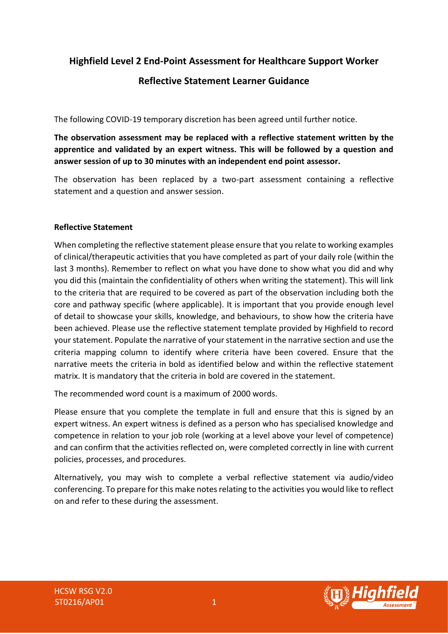**Highfield Level 2 End-Point Assessment for Healthcare Support Worker**

# **Reflective Statement Learner Guidance**

The following COVID-19 temporary discretion has been agreed until further notice.

**The observation assessment may be replaced with a reflective statement written by the apprentice and validated by an expert witness. This will be followed by a question and answer session of up to 30 minutes with an independent end point assessor.**

The observation has been replaced by a two-part assessment containing a reflective statement and a question and answer session.

## **Reflective Statement**

When completing the reflective statement please ensure that you relate to working examples of clinical/therapeutic activities that you have completed as part of your daily role (within the last 3 months). Remember to reflect on what you have done to show what you did and why you did this (maintain the confidentiality of others when writing the statement). This will link to the criteria that are required to be covered as part of the observation including both the core and pathway specific (where applicable). It is important that you provide enough level of detail to showcase your skills, knowledge, and behaviours, to show how the criteria have been achieved. Please use the reflective statement template provided by Highfield to record your statement. Populate the narrative of your statement in the narrative section and use the criteria mapping column to identify where criteria have been covered. Ensure that the narrative meets the criteria in bold as identified below and within the reflective statement matrix. It is mandatory that the criteria in bold are covered in the statement.

The recommended word count is a maximum of 2000 words.

Please ensure that you complete the template in full and ensure that this is signed by an expert witness. An expert witness is defined as a person who has specialised knowledge and competence in relation to your job role (working at a level above your level of competence) and can confirm that the activities reflected on, were completed correctly in line with current policies, processes, and procedures.

Alternatively, you may wish to complete a verbal reflective statement via audio/video conferencing. To prepare for this make notes relating to the activities you would like to reflect on and refer to these during the assessment.



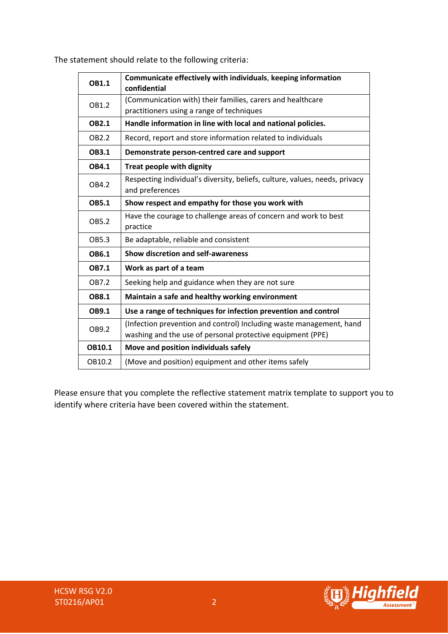| OB1.1         | Communicate effectively with individuals, keeping information<br>confidential |  |  |
|---------------|-------------------------------------------------------------------------------|--|--|
| OB1.2         | (Communication with) their families, carers and healthcare                    |  |  |
|               | practitioners using a range of techniques                                     |  |  |
| <b>OB2.1</b>  | Handle information in line with local and national policies.                  |  |  |
| OB2.2         | Record, report and store information related to individuals                   |  |  |
| <b>OB3.1</b>  | Demonstrate person-centred care and support                                   |  |  |
| OB4.1         | Treat people with dignity                                                     |  |  |
| OB4.2         | Respecting individual's diversity, beliefs, culture, values, needs, privacy   |  |  |
|               | and preferences                                                               |  |  |
| <b>OB5.1</b>  | Show respect and empathy for those you work with                              |  |  |
| OB5.2         | Have the courage to challenge areas of concern and work to best               |  |  |
|               | practice                                                                      |  |  |
| OB5.3         | Be adaptable, reliable and consistent                                         |  |  |
| OB6.1         | <b>Show discretion and self-awareness</b>                                     |  |  |
| <b>OB7.1</b>  | Work as part of a team                                                        |  |  |
| OB7.2         | Seeking help and guidance when they are not sure                              |  |  |
| <b>OB8.1</b>  | Maintain a safe and healthy working environment                               |  |  |
| OB9.1         | Use a range of techniques for infection prevention and control                |  |  |
| OB9.2         | (Infection prevention and control) Including waste management, hand           |  |  |
|               | washing and the use of personal protective equipment (PPE)                    |  |  |
| <b>OB10.1</b> | Move and position individuals safely                                          |  |  |
| OB10.2        | (Move and position) equipment and other items safely                          |  |  |

The statement should relate to the following criteria:

Please ensure that you complete the reflective statement matrix template to support you to identify where criteria have been covered within the statement.



**gn** 

**Assessment**